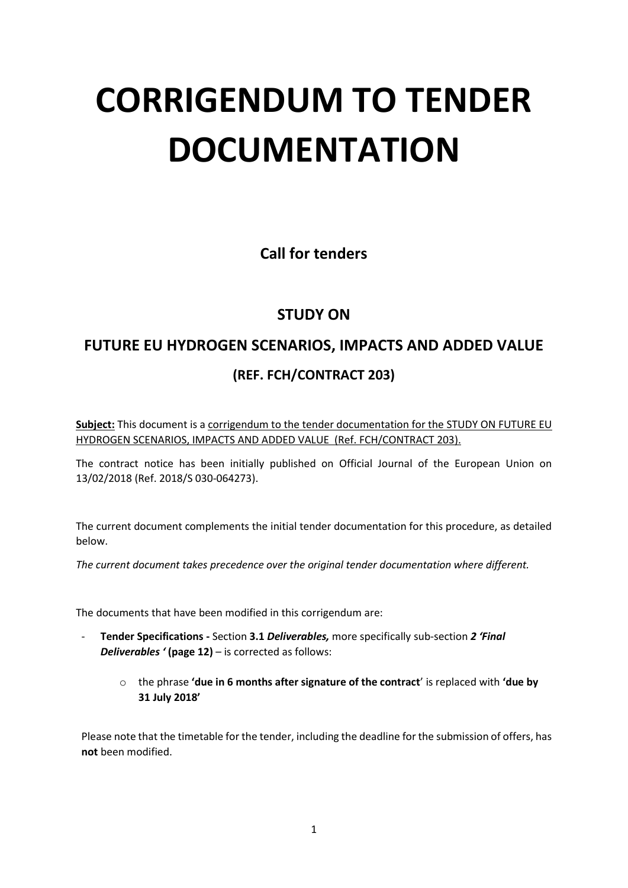# **CORRIGENDUM TO TENDER DOCUMENTATION**

**Call for tenders**

## **STUDY ON**

## **FUTURE EU HYDROGEN SCENARIOS, IMPACTS AND ADDED VALUE (REF. FCH/CONTRACT 203)**

Subject: This document is a corrigendum to the tender documentation for the STUDY ON FUTURE EU HYDROGEN SCENARIOS, IMPACTS AND ADDED VALUE (Ref. FCH/CONTRACT 203).

The contract notice has been initially published on Official Journal of the European Union on 13/02/2018 (Ref. 2018/S 030-064273).

The current document complements the initial tender documentation for this procedure, as detailed below.

*The current document takes precedence over the original tender documentation where different.*

The documents that have been modified in this corrigendum are:

- **Tender Specifications -** Section **3.1** *Deliverables,* more specifically sub-section *2 'Final Deliverables '* **(page 12)** – is corrected as follows:
	- o the phrase **'due in 6 months after signature of the contract**' is replaced with **'due by 31 July 2018'**

Please note that the timetable for the tender, including the deadline for the submission of offers, has **not** been modified.